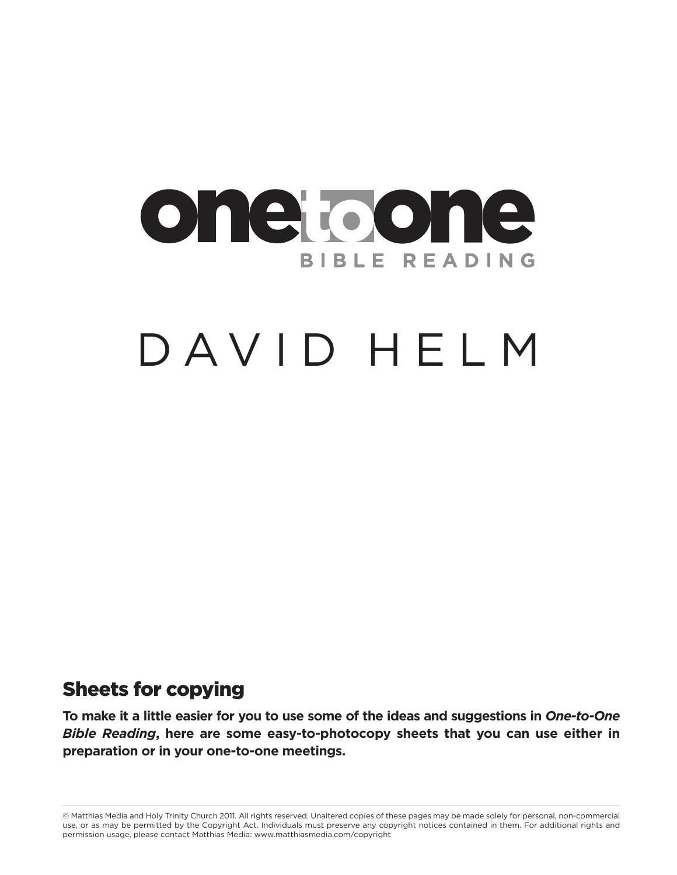

# DAVID HELM

## **Sheets for copying**

**To make it a little easier for you to use some of the ideas and suggestions in** *One-to-One Bible Reading***, here are some easy-to-photocopy sheets that you can use either in preparation or in your one-to-one meetings.**

© Matthias Media and Holy Trinity Church 2011. All rights reserved. Unaltered copies of these pages may be made solely for personal, non-commercial use, or as may be permitted by the Copyright Act. Individuals must preserve any copyright notices contained in them. For additional rights and permission usage, please contact Matthias Media: www.matthiasmedia.com/copyright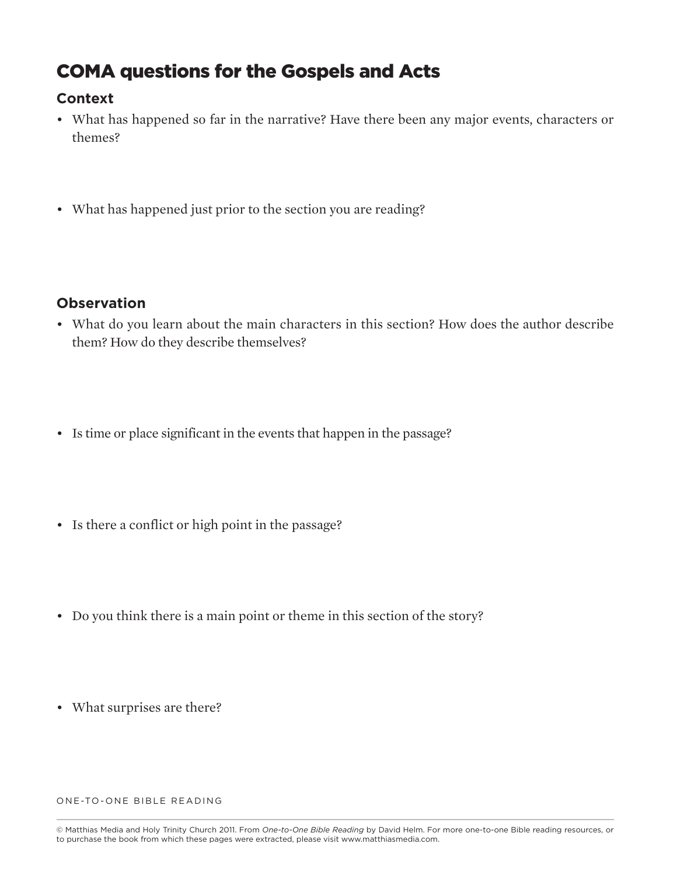## **COMA questions for the Gospels and Acts**

#### **Context**

- What has happened so far in the narrative? Have there been any major events, characters or themes?
- What has happened just prior to the section you are reading?

#### **Observation**

- What do you learn about the main characters in this section? How does the author describe them? How do they describe themselves?
- Is time or place significant in the events that happen in the passage?
- Is there a conflict or high point in the passage?
- Do you think there is a main point or theme in this section of the story?
- What surprises are there?

<sup>©</sup> Matthias Media and Holy Trinity Church 2011. From *One-to-One Bible Reading* by David Helm. For more one-to-one Bible reading resources, or to purchase the book from which these pages were extracted, please visit www.matthiasmedia.com.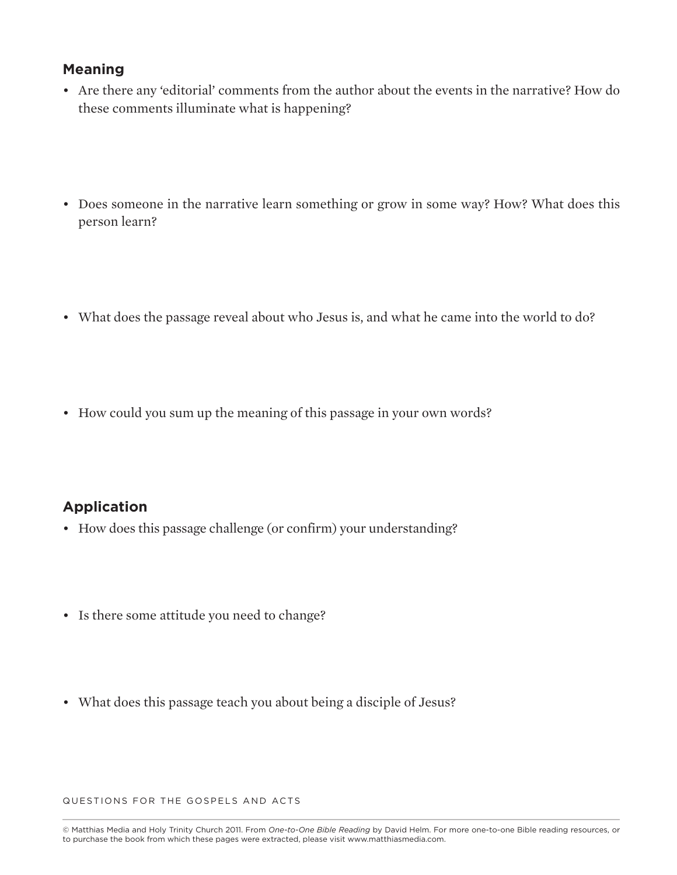- Are there any 'editorial' comments from the author about the events in the narrative? How do these comments illuminate what is happening?
- Does someone in the narrative learn something or grow in some way? How? What does this person learn?
- What does the passage reveal about who Jesus is, and what he came into the world to do?
- How could you sum up the meaning of this passage in your own words?

#### **Application**

- How does this passage challenge (or confirm) your understanding?
- Is there some attitude you need to change?
- What does this passage teach you about being a disciple of Jesus?

QUESTIONS FOR THE GOSPELS AND ACTS

<sup>©</sup> Matthias Media and Holy Trinity Church 2011. From *One-to-One Bible Reading* by David Helm. For more one-to-one Bible reading resources, or to purchase the book from which these pages were extracted, please visit www.matthiasmedia.com.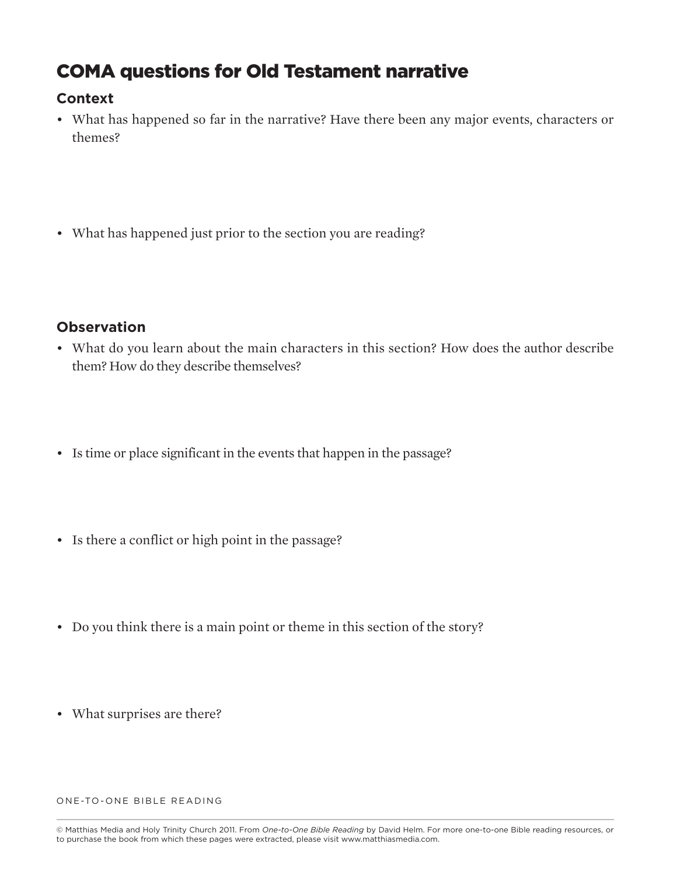## **COMA questions for Old Testament narrative**

#### **Context**

- What has happened so far in the narrative? Have there been any major events, characters or themes?
- What has happened just prior to the section you are reading?

#### **Observation**

- What do you learn about the main characters in this section? How does the author describe them? How do they describe themselves?
- Is time or place significant in the events that happen in the passage?
- Is there a conflict or high point in the passage?
- Do you think there is a main point or theme in this section of the story?
- What surprises are there?

<sup>©</sup> Matthias Media and Holy Trinity Church 2011. From *One-to-One Bible Reading* by David Helm. For more one-to-one Bible reading resources, or to purchase the book from which these pages were extracted, please visit www.matthiasmedia.com.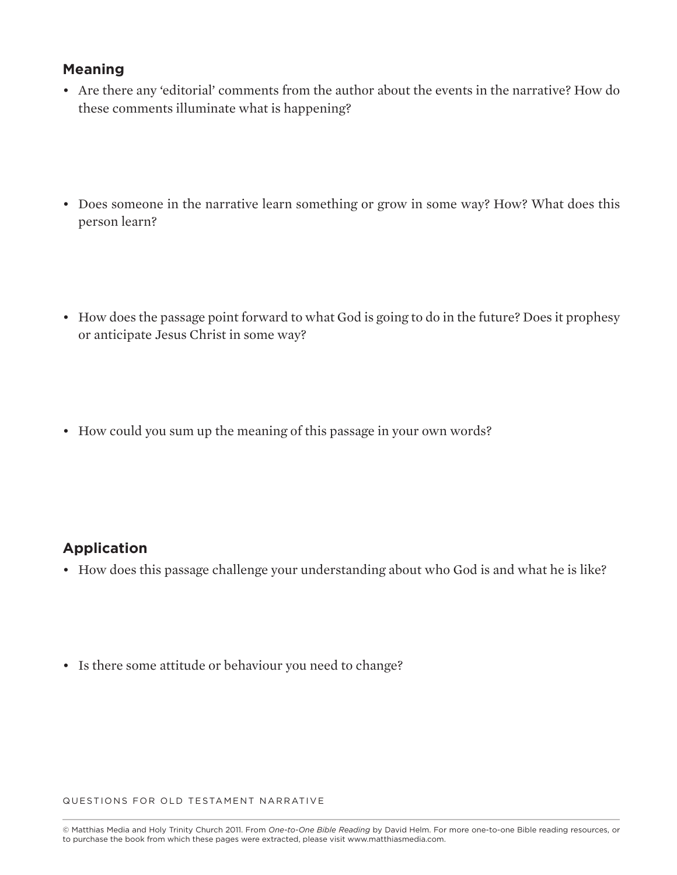- Are there any 'editorial' comments from the author about the events in the narrative? How do these comments illuminate what is happening?
- Does someone in the narrative learn something or grow in some way? How? What does this person learn?
- How does the passage point forward to what God is going to do in the future? Does it prophesy or anticipate Jesus Christ in some way?
- How could you sum up the meaning of this passage in your own words?

#### **Application**

- How does this passage challenge your understanding about who God is and what he is like?
- Is there some attitude or behaviour you need to change?

QUESTIONS FOR OLD TESTAMENT NARRATIVE

<sup>©</sup> Matthias Media and Holy Trinity Church 2011. From *One-to-One Bible Reading* by David Helm. For more one-to-one Bible reading resources, or to purchase the book from which these pages were extracted, please visit www.matthiasmedia.com.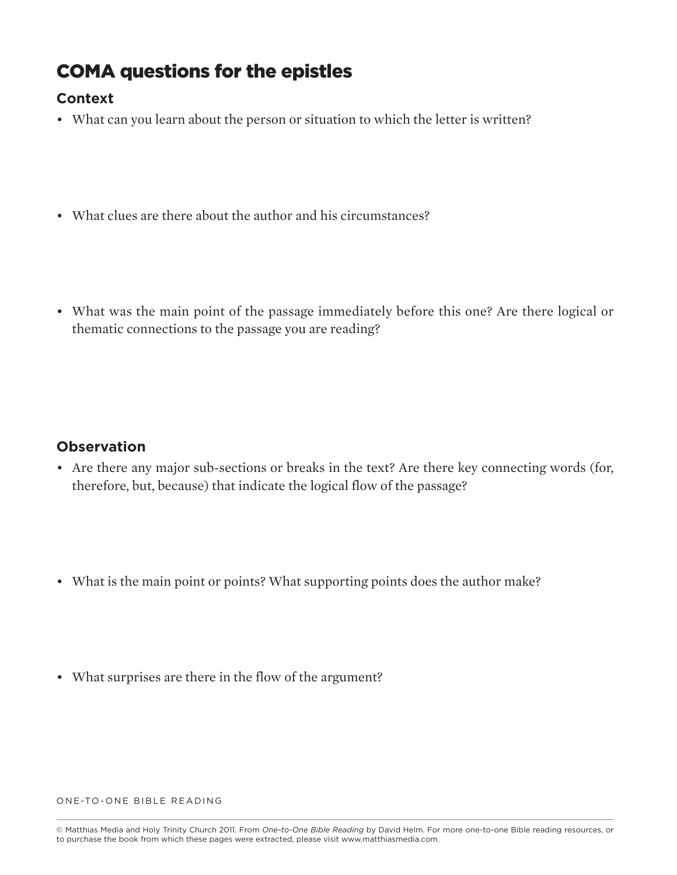## **COMA questions for the epistles**

### **Context**

- What can you learn about the person or situation to which the letter is written?
- What clues are there about the author and his circumstances?
- What was the main point of the passage immediately before this one? Are there logical or thematic connections to the passage you are reading?

#### **Observation**

- Are there any major sub-sections or breaks in the text? Are there key connecting words (for, therefore, but, because) that indicate the logical flow of the passage?
- What is the main point or points? What supporting points does the author make?
- What surprises are there in the flow of the argument?

<sup>©</sup> Matthias Media and Holy Trinity Church 2011. From *One-to-One Bible Reading* by David Helm. For more one-to-one Bible reading resources, or to purchase the book from which these pages were extracted, please visit www.matthiasmedia.com.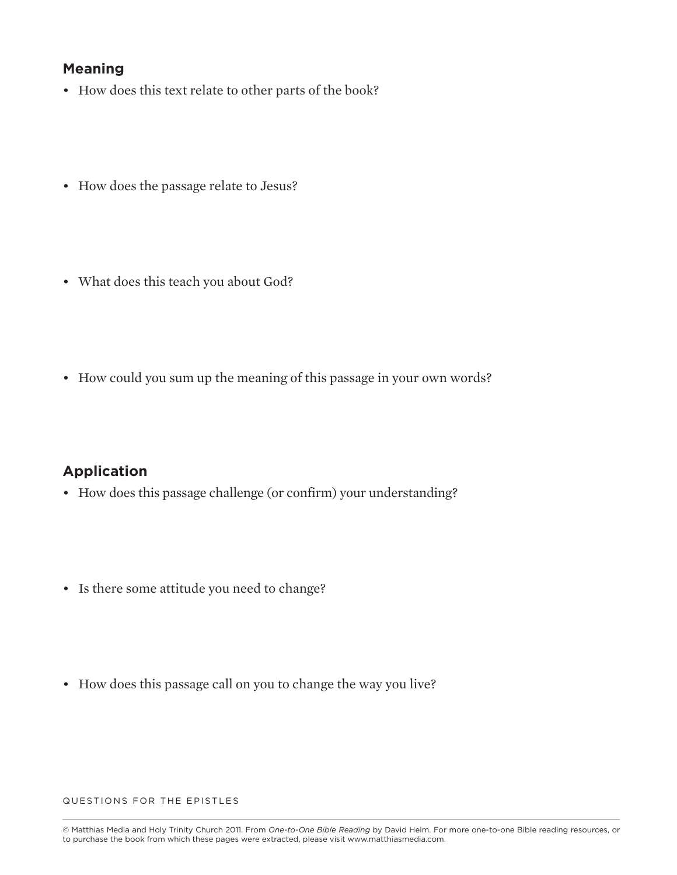- How does this text relate to other parts of the book?
- How does the passage relate to Jesus?
- What does this teach you about God?
- How could you sum up the meaning of this passage in your own words?

#### **Application**

- How does this passage challenge (or confirm) your understanding?
- Is there some attitude you need to change?
- How does this passage call on you to change the way you live?

QUESTIONS FOR THE EPISTLES

<sup>©</sup> Matthias Media and Holy Trinity Church 2011. From *One-to-One Bible Reading* by David Helm. For more one-to-one Bible reading resources, or to purchase the book from which these pages were extracted, please visit www.matthiasmedia.com.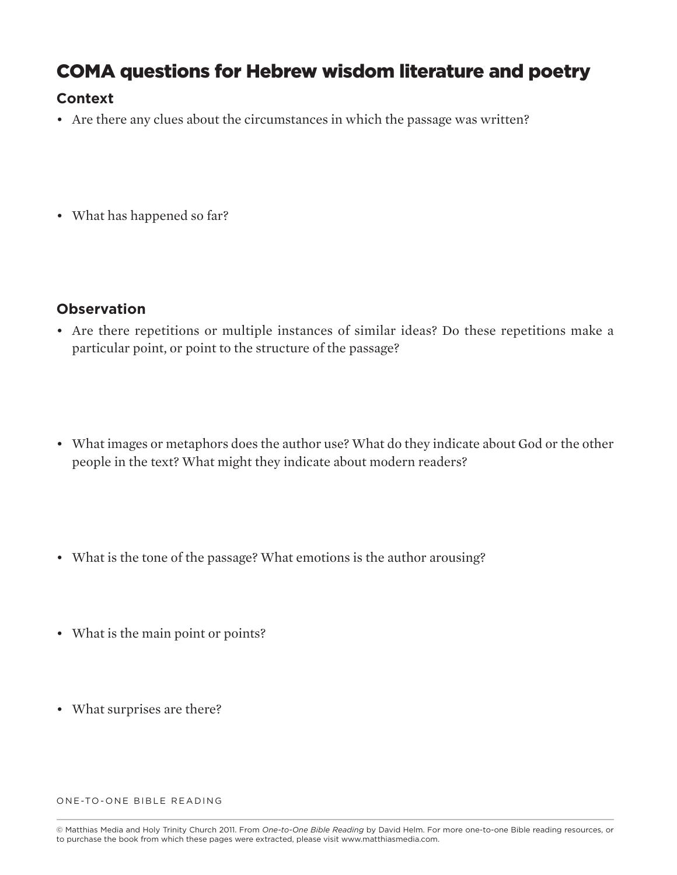## **COMA questions for Hebrew wisdom literature and poetry**

#### **Context**

- Are there any clues about the circumstances in which the passage was written?
- What has happened so far?

#### **Observation**

- Are there repetitions or multiple instances of similar ideas? Do these repetitions make a particular point, or point to the structure of the passage?
- What images or metaphors does the author use? What do they indicate about God or the other people in the text? What might they indicate about modern readers?
- What is the tone of the passage? What emotions is the author arousing?
- What is the main point or points?
- What surprises are there?

<sup>©</sup> Matthias Media and Holy Trinity Church 2011. From *One-to-One Bible Reading* by David Helm. For more one-to-one Bible reading resources, or to purchase the book from which these pages were extracted, please visit www.matthiasmedia.com.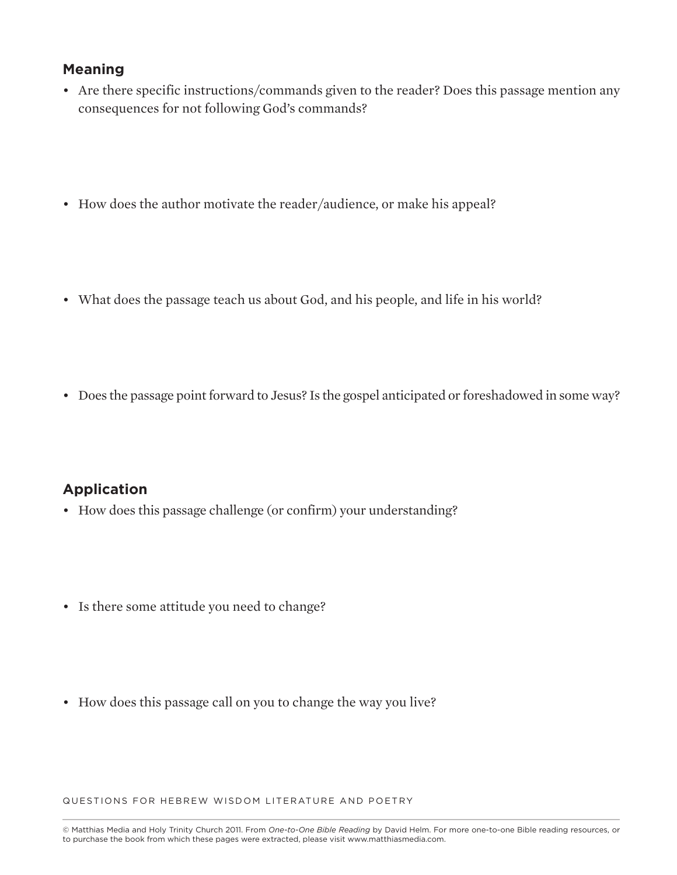- Are there specific instructions/commands given to the reader? Does this passage mention any consequences for not following God's commands?
- How does the author motivate the reader/audience, or make his appeal?
- What does the passage teach us about God, and his people, and life in his world?
- Does the passage point forward to Jesus? Is the gospel anticipated or foreshadowed in some way?

#### **Application**

- How does this passage challenge (or confirm) your understanding?
- Is there some attitude you need to change?
- How does this passage call on you to change the way you live?

QUESTIONS FOR HEBREW WISDOM LITERATURE AND POETRY

<sup>©</sup> Matthias Media and Holy Trinity Church 2011. From *One-to-One Bible Reading* by David Helm. For more one-to-one Bible reading resources, or to purchase the book from which these pages were extracted, please visit www.matthiasmedia.com.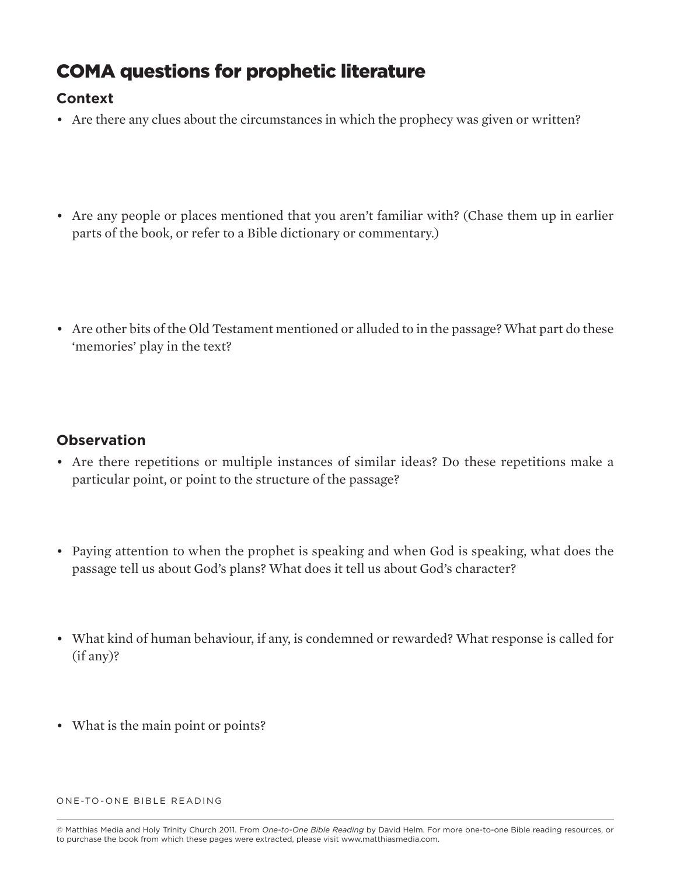# **COMA questions for prophetic literature**

## **Context**

- Are there any clues about the circumstances in which the prophecy was given or written?
- Are any people or places mentioned that you aren't familiar with? (Chase them up in earlier parts of the book, or refer to a Bible dictionary or commentary.)
- Are other bits of the Old Testament mentioned or alluded to in the passage? What part do these 'memories' play in the text?

#### **Observation**

- Are there repetitions or multiple instances of similar ideas? Do these repetitions make a particular point, or point to the structure of the passage?
- Paying attention to when the prophet is speaking and when God is speaking, what does the passage tell us about God's plans? What does it tell us about God's character?
- What kind of human behaviour, if any, is condemned or rewarded? What response is called for (if any)?
- What is the main point or points?

<sup>©</sup> Matthias Media and Holy Trinity Church 2011. From *One-to-One Bible Reading* by David Helm. For more one-to-one Bible reading resources, or to purchase the book from which these pages were extracted, please visit www.matthiasmedia.com.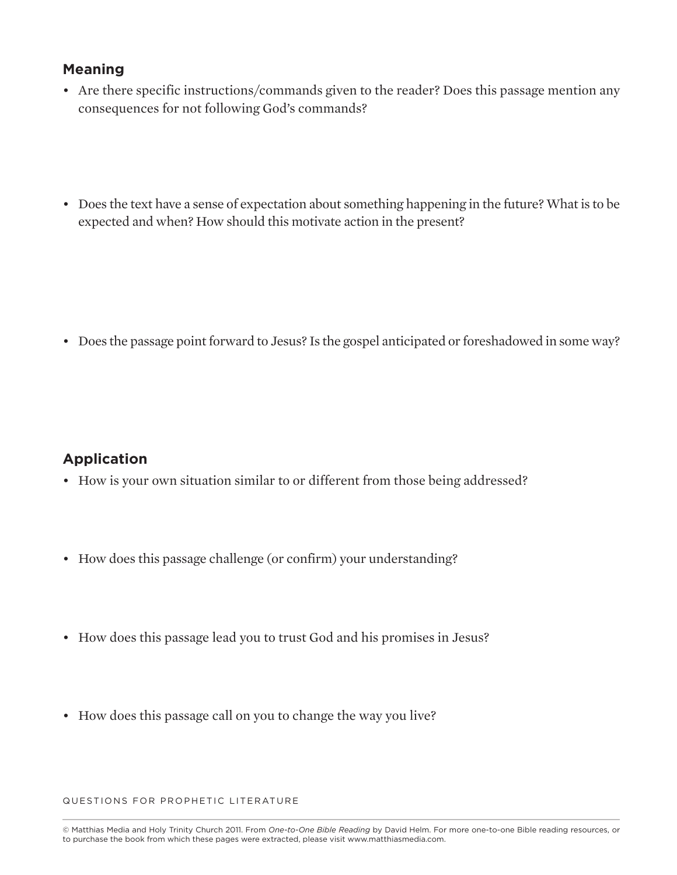- Are there specific instructions/commands given to the reader? Does this passage mention any consequences for not following God's commands?
- Does the text have a sense of expectation about something happening in the future? What is to be expected and when? How should this motivate action in the present?

• Does the passage point forward to Jesus? Is the gospel anticipated or foreshadowed in some way?

#### **Application**

- How is your own situation similar to or different from those being addressed?
- How does this passage challenge (or confirm) your understanding?
- How does this passage lead you to trust God and his promises in Jesus?
- How does this passage call on you to change the way you live?

QUESTIONS FOR PROPHETIC LITERATURE

<sup>©</sup> Matthias Media and Holy Trinity Church 2011. From *One-to-One Bible Reading* by David Helm. For more one-to-one Bible reading resources, or to purchase the book from which these pages were extracted, please visit www.matthiasmedia.com.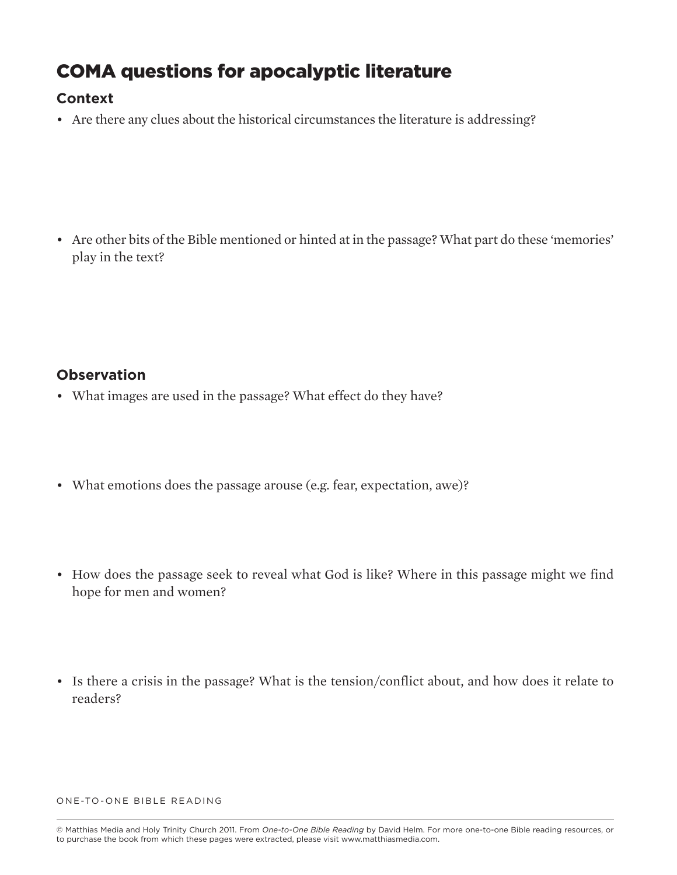## **COMA questions for apocalyptic literature**

## **Context**

• Are there any clues about the historical circumstances the literature is addressing?

• Are other bits of the Bible mentioned or hinted at in the passage? What part do these 'memories' play in the text?

#### **Observation**

- What images are used in the passage? What effect do they have?
- What emotions does the passage arouse (e.g. fear, expectation, awe)?
- How does the passage seek to reveal what God is like? Where in this passage might we find hope for men and women?
- Is there a crisis in the passage? What is the tension/conflict about, and how does it relate to readers?

<sup>©</sup> Matthias Media and Holy Trinity Church 2011. From *One-to-One Bible Reading* by David Helm. For more one-to-one Bible reading resources, or to purchase the book from which these pages were extracted, please visit www.matthiasmedia.com.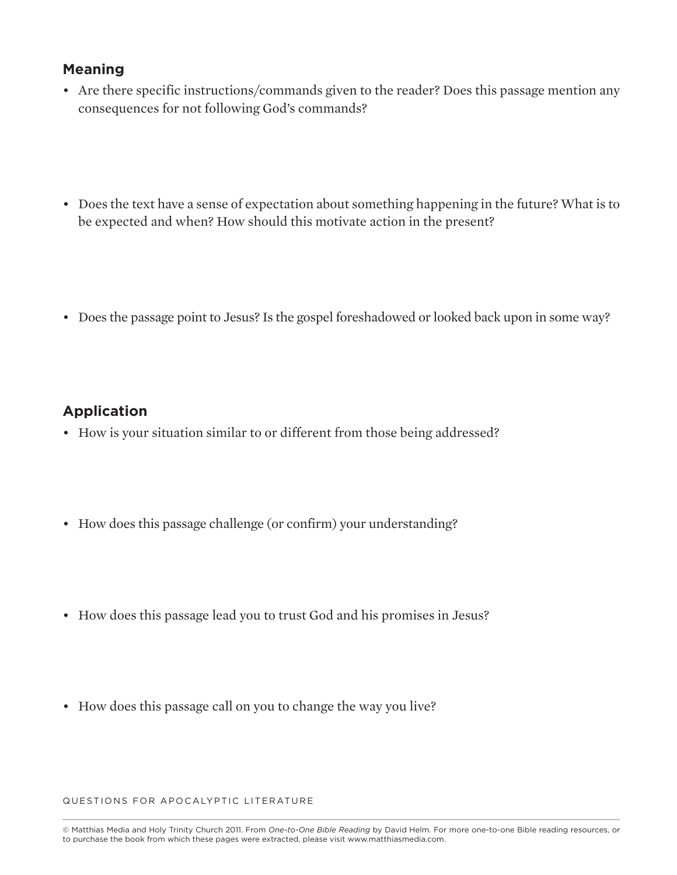- Are there specific instructions/commands given to the reader? Does this passage mention any consequences for not following God's commands?
- Does the text have a sense of expectation about something happening in the future? What is to be expected and when? How should this motivate action in the present?
- Does the passage point to Jesus? Is the gospel foreshadowed or looked back upon in some way?

#### **Application**

- How is your situation similar to or different from those being addressed?
- How does this passage challenge (or confirm) your understanding?
- How does this passage lead you to trust God and his promises in Jesus?
- How does this passage call on you to change the way you live?

QUESTIONS FOR APOCALYPTIC LITERATURE

<sup>©</sup> Matthias Media and Holy Trinity Church 2011. From *One-to-One Bible Reading* by David Helm. For more one-to-one Bible reading resources, or to purchase the book from which these pages were extracted, please visit www.matthiasmedia.com.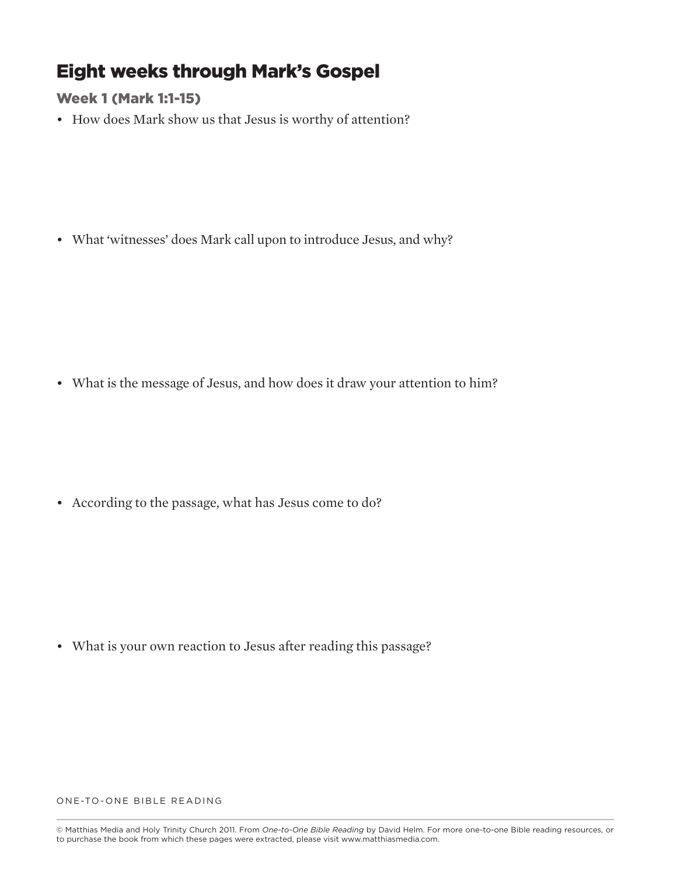## **Eight weeks through Mark's Gospel**

**Week 1 (Mark 1:1-15)**

• How does Mark show us that Jesus is worthy of attention?

• What 'witnesses' does Mark call upon to introduce Jesus, and why?

• What is the message of Jesus, and how does it draw your attention to him?

• According to the passage, what has Jesus come to do?

• What is your own reaction to Jesus after reading this passage?

<sup>©</sup> Matthias Media and Holy Trinity Church 2011. From *One-to-One Bible Reading* by David Helm. For more one-to-one Bible reading resources, or to purchase the book from which these pages were extracted, please visit www.matthiasmedia.com.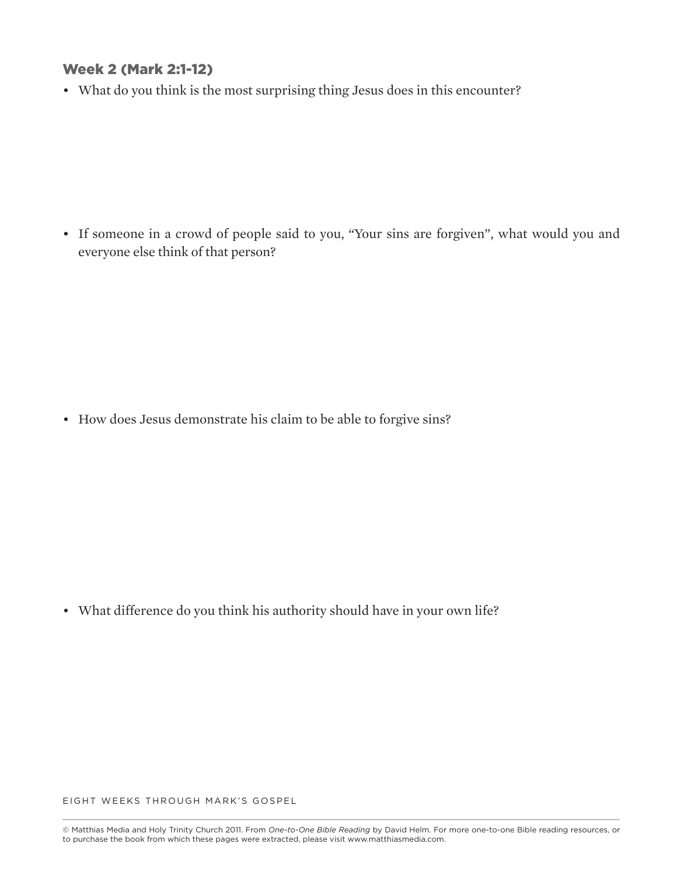#### **Week 2 (Mark 2:1-12)**

• What do you think is the most surprising thing Jesus does in this encounter?

• If someone in a crowd of people said to you, "Your sins are forgiven", what would you and everyone else think of that person?

• How does Jesus demonstrate his claim to be able to forgive sins?

• What difference do you think his authority should have in your own life?

EIGHT WEEKS THROUGH MARK'S GOSPEL

<sup>©</sup> Matthias Media and Holy Trinity Church 2011. From *One-to-One Bible Reading* by David Helm. For more one-to-one Bible reading resources, or to purchase the book from which these pages were extracted, please visit www.matthiasmedia.com.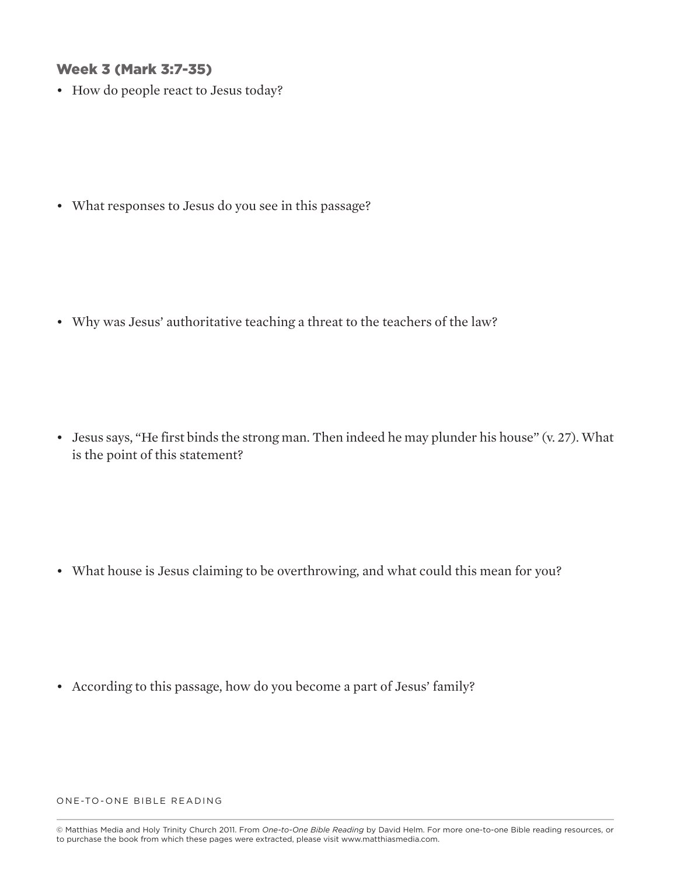#### **Week 3 (Mark 3:7-35)**

• How do people react to Jesus today?

• What responses to Jesus do you see in this passage?

• Why was Jesus' authoritative teaching a threat to the teachers of the law?

• Jesus says, "He first binds the strong man. Then indeed he may plunder his house" (v. 27). What is the point of this statement?

• What house is Jesus claiming to be overthrowing, and what could this mean for you?

• According to this passage, how do you become a part of Jesus' family?

<sup>©</sup> Matthias Media and Holy Trinity Church 2011. From *One-to-One Bible Reading* by David Helm. For more one-to-one Bible reading resources, or to purchase the book from which these pages were extracted, please visit www.matthiasmedia.com.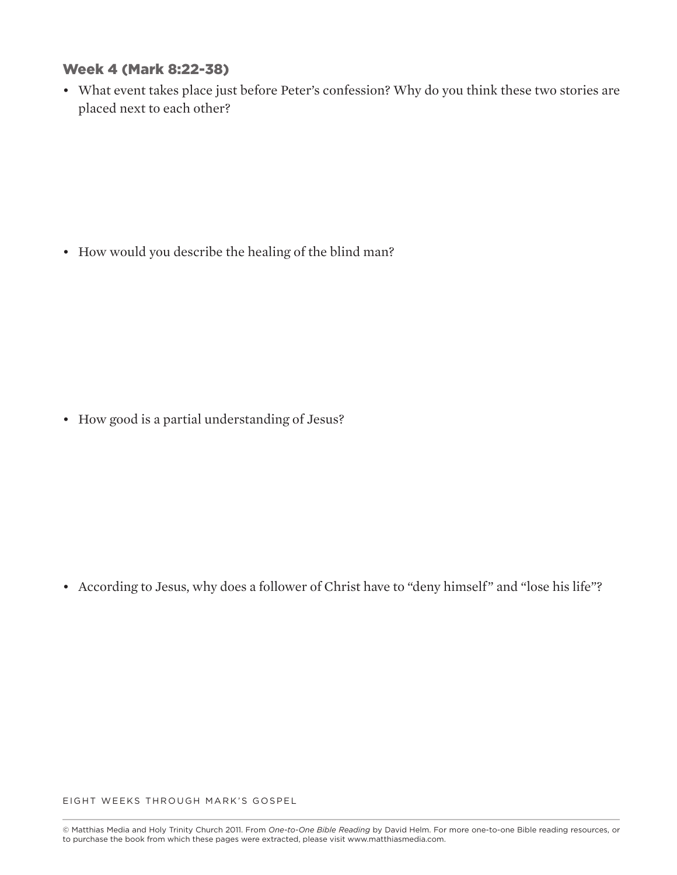#### **Week 4 (Mark 8:22-38)**

• What event takes place just before Peter's confession? Why do you think these two stories are placed next to each other?

• How would you describe the healing of the blind man?

• How good is a partial understanding of Jesus?

• According to Jesus, why does a follower of Christ have to "deny himself" and "lose his life"?

EIGHT WEEKS THROUGH MARK'S GOSPEL

<sup>©</sup> Matthias Media and Holy Trinity Church 2011. From *One-to-One Bible Reading* by David Helm. For more one-to-one Bible reading resources, or to purchase the book from which these pages were extracted, please visit www.matthiasmedia.com.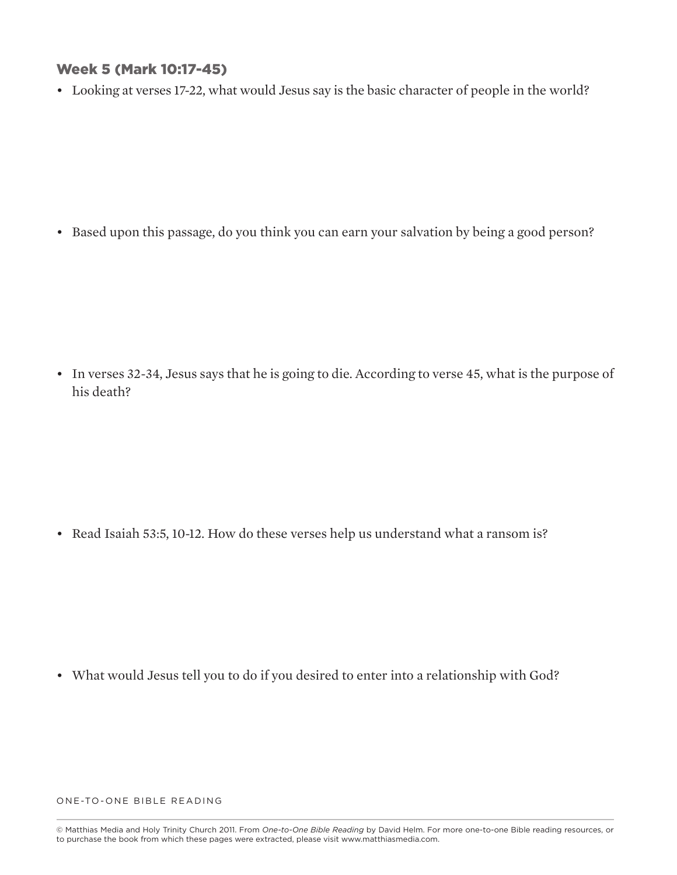#### **Week 5 (Mark 10:17-45)**

• Looking at verses 17-22, what would Jesus say is the basic character of people in the world?

• Based upon this passage, do you think you can earn your salvation by being a good person?

• In verses 32-34, Jesus says that he is going to die. According to verse 45, what is the purpose of his death?

• Read Isaiah 53:5, 10-12. How do these verses help us understand what a ransom is?

• What would Jesus tell you to do if you desired to enter into a relationship with God?

<sup>©</sup> Matthias Media and Holy Trinity Church 2011. From *One-to-One Bible Reading* by David Helm. For more one-to-one Bible reading resources, or to purchase the book from which these pages were extracted, please visit www.matthiasmedia.com.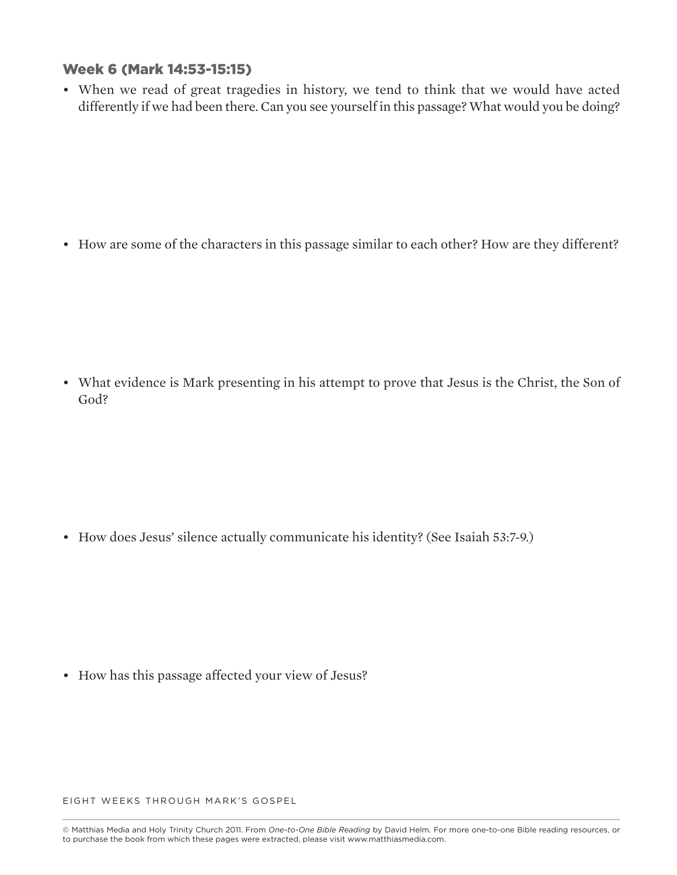#### **Week 6 (Mark 14:53-15:15)**

• When we read of great tragedies in history, we tend to think that we would have acted differently if we had been there. Can you see yourself in this passage? What would you be doing?

• How are some of the characters in this passage similar to each other? How are they different?

• What evidence is Mark presenting in his attempt to prove that Jesus is the Christ, the Son of God?

• How does Jesus' silence actually communicate his identity? (See Isaiah 53:7-9.)

• How has this passage affected your view of Jesus?

EIGHT WEEKS THROUGH MARK'S GOSPEL

<sup>©</sup> Matthias Media and Holy Trinity Church 2011. From *One-to-One Bible Reading* by David Helm. For more one-to-one Bible reading resources, or to purchase the book from which these pages were extracted, please visit www.matthiasmedia.com.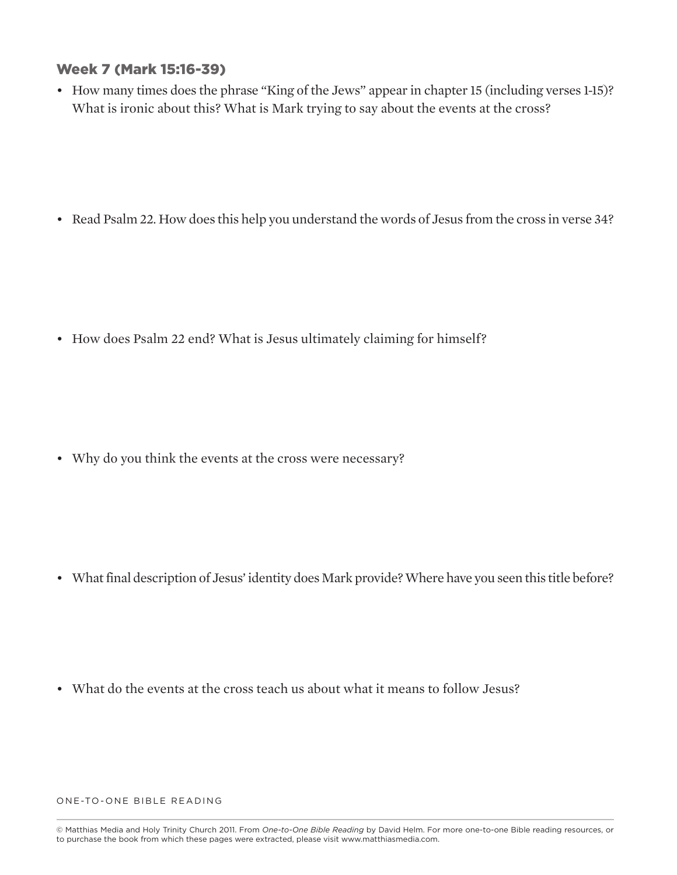#### **Week 7 (Mark 15:16-39)**

• How many times does the phrase "King of the Jews" appear in chapter 15 (including verses 1-15)? What is ironic about this? What is Mark trying to say about the events at the cross?

• Read Psalm 22. How does this help you understand the words of Jesus from the cross in verse 34?

• How does Psalm 22 end? What is Jesus ultimately claiming for himself?

• Why do you think the events at the cross were necessary?

• What final description of Jesus' identity does Mark provide? Where have you seen this title before?

• What do the events at the cross teach us about what it means to follow Jesus?

<sup>©</sup> Matthias Media and Holy Trinity Church 2011. From *One-to-One Bible Reading* by David Helm. For more one-to-one Bible reading resources, or to purchase the book from which these pages were extracted, please visit www.matthiasmedia.com.